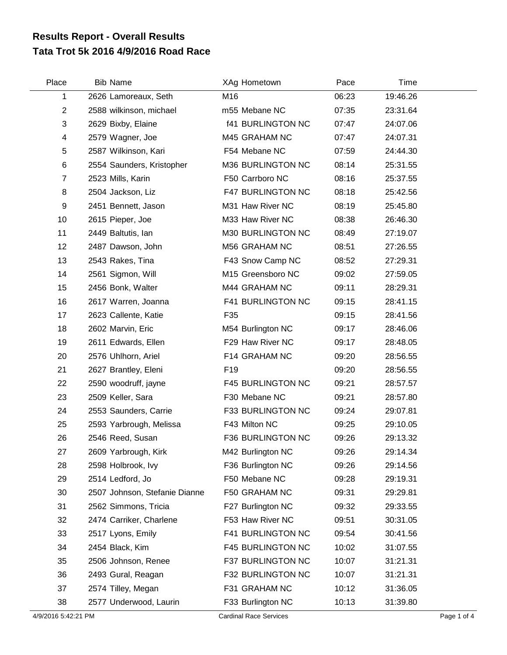## **Tata Trot 5k 2016 4/9/2016 Road Race Results Report - Overall Results**

| Place          | <b>Bib Name</b>               | XAg Hometown             | Pace  | Time     |  |
|----------------|-------------------------------|--------------------------|-------|----------|--|
| 1              | 2626 Lamoreaux, Seth          | M16                      | 06:23 | 19:46.26 |  |
| $\overline{2}$ | 2588 wilkinson, michael       | m55 Mebane NC            | 07:35 | 23:31.64 |  |
| 3              | 2629 Bixby, Elaine            | <b>f41 BURLINGTON NC</b> | 07:47 | 24:07.06 |  |
| 4              | 2579 Wagner, Joe              | M45 GRAHAM NC            | 07:47 | 24:07.31 |  |
| 5              | 2587 Wilkinson, Kari          | F54 Mebane NC            | 07:59 | 24:44.30 |  |
| 6              | 2554 Saunders, Kristopher     | M36 BURLINGTON NC        | 08:14 | 25:31.55 |  |
| $\overline{7}$ | 2523 Mills, Karin             | F50 Carrboro NC          | 08:16 | 25:37.55 |  |
| 8              | 2504 Jackson, Liz             | F47 BURLINGTON NC        | 08:18 | 25:42.56 |  |
| 9              | 2451 Bennett, Jason           | M31 Haw River NC         | 08:19 | 25:45.80 |  |
| 10             | 2615 Pieper, Joe              | M33 Haw River NC         | 08:38 | 26:46.30 |  |
| 11             | 2449 Baltutis, lan            | M30 BURLINGTON NC        | 08:49 | 27:19.07 |  |
| 12             | 2487 Dawson, John             | M56 GRAHAM NC            | 08:51 | 27:26.55 |  |
| 13             | 2543 Rakes, Tina              | F43 Snow Camp NC         | 08:52 | 27:29.31 |  |
| 14             | 2561 Sigmon, Will             | M15 Greensboro NC        | 09:02 | 27:59.05 |  |
| 15             | 2456 Bonk, Walter             | M44 GRAHAM NC            | 09:11 | 28:29.31 |  |
| 16             | 2617 Warren, Joanna           | F41 BURLINGTON NC        | 09:15 | 28:41.15 |  |
| 17             | 2623 Callente, Katie          | F35                      | 09:15 | 28:41.56 |  |
| 18             | 2602 Marvin, Eric             | M54 Burlington NC        | 09:17 | 28:46.06 |  |
| 19             | 2611 Edwards, Ellen           | F29 Haw River NC         | 09:17 | 28:48.05 |  |
| 20             | 2576 Uhlhorn, Ariel           | F14 GRAHAM NC            | 09:20 | 28:56.55 |  |
| 21             | 2627 Brantley, Eleni          | F <sub>19</sub>          | 09:20 | 28:56.55 |  |
| 22             | 2590 woodruff, jayne          | <b>F45 BURLINGTON NC</b> | 09:21 | 28:57.57 |  |
| 23             | 2509 Keller, Sara             | F30 Mebane NC            | 09:21 | 28:57.80 |  |
| 24             | 2553 Saunders, Carrie         | F33 BURLINGTON NC        | 09:24 | 29:07.81 |  |
| 25             | 2593 Yarbrough, Melissa       | F43 Milton NC            | 09:25 | 29:10.05 |  |
| 26             | 2546 Reed, Susan              | F36 BURLINGTON NC        | 09:26 | 29:13.32 |  |
| 27             | 2609 Yarbrough, Kirk          | M42 Burlington NC        | 09:26 | 29:14.34 |  |
| 28             | 2598 Holbrook, Ivy            | F36 Burlington NC        | 09:26 | 29:14.56 |  |
| 29             | 2514 Ledford, Jo              | F50 Mebane NC            | 09:28 | 29:19.31 |  |
| 30             | 2507 Johnson, Stefanie Dianne | F50 GRAHAM NC            | 09:31 | 29:29.81 |  |
| 31             | 2562 Simmons, Tricia          | F27 Burlington NC        | 09:32 | 29:33.55 |  |
| 32             | 2474 Carriker, Charlene       | F53 Haw River NC         | 09:51 | 30:31.05 |  |
| 33             | 2517 Lyons, Emily             | F41 BURLINGTON NC        | 09:54 | 30:41.56 |  |
| 34             | 2454 Black, Kim               | F45 BURLINGTON NC        | 10:02 | 31:07.55 |  |
| 35             | 2506 Johnson, Renee           | F37 BURLINGTON NC        | 10:07 | 31:21.31 |  |
| 36             | 2493 Gural, Reagan            | F32 BURLINGTON NC        | 10:07 | 31:21.31 |  |
| 37             | 2574 Tilley, Megan            | F31 GRAHAM NC            | 10:12 | 31:36.05 |  |
| 38             | 2577 Underwood, Laurin        | F33 Burlington NC        | 10:13 | 31:39.80 |  |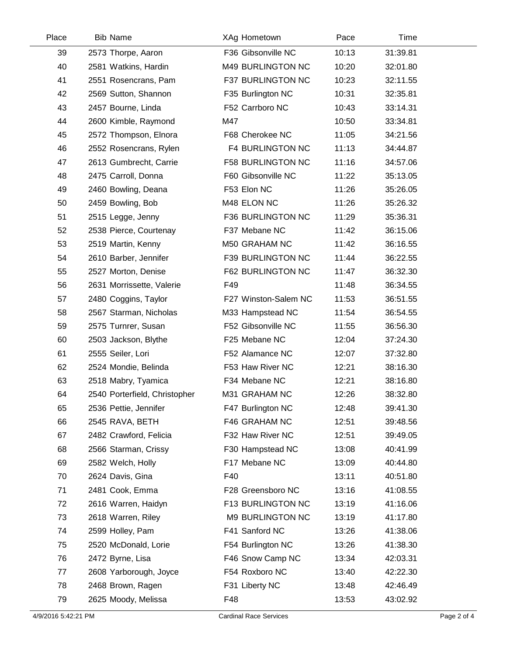| Place | <b>Bib Name</b>               | XAg Hometown            | Pace  | Time     |  |
|-------|-------------------------------|-------------------------|-------|----------|--|
| 39    | 2573 Thorpe, Aaron            | F36 Gibsonville NC      | 10:13 | 31:39.81 |  |
| 40    | 2581 Watkins, Hardin          | M49 BURLINGTON NC       | 10:20 | 32:01.80 |  |
| 41    | 2551 Rosencrans, Pam          | F37 BURLINGTON NC       | 10:23 | 32:11.55 |  |
| 42    | 2569 Sutton, Shannon          | F35 Burlington NC       | 10:31 | 32:35.81 |  |
| 43    | 2457 Bourne, Linda            | F52 Carrboro NC         | 10:43 | 33:14.31 |  |
| 44    | 2600 Kimble, Raymond          | M47                     | 10:50 | 33:34.81 |  |
| 45    | 2572 Thompson, Elnora         | F68 Cherokee NC         | 11:05 | 34:21.56 |  |
| 46    | 2552 Rosencrans, Rylen        | <b>F4 BURLINGTON NC</b> | 11:13 | 34:44.87 |  |
| 47    | 2613 Gumbrecht, Carrie        | F58 BURLINGTON NC       | 11:16 | 34:57.06 |  |
| 48    | 2475 Carroll, Donna           | F60 Gibsonville NC      | 11:22 | 35:13.05 |  |
| 49    | 2460 Bowling, Deana           | F53 Elon NC             | 11:26 | 35:26.05 |  |
| 50    | 2459 Bowling, Bob             | M48 ELON NC             | 11:26 | 35:26.32 |  |
| 51    | 2515 Legge, Jenny             | F36 BURLINGTON NC       | 11:29 | 35:36.31 |  |
| 52    | 2538 Pierce, Courtenay        | F37 Mebane NC           | 11:42 | 36:15.06 |  |
| 53    | 2519 Martin, Kenny            | M50 GRAHAM NC           | 11:42 | 36:16.55 |  |
| 54    | 2610 Barber, Jennifer         | F39 BURLINGTON NC       | 11:44 | 36:22.55 |  |
| 55    | 2527 Morton, Denise           | F62 BURLINGTON NC       | 11:47 | 36:32.30 |  |
| 56    | 2631 Morrissette, Valerie     | F49                     | 11:48 | 36:34.55 |  |
| 57    | 2480 Coggins, Taylor          | F27 Winston-Salem NC    | 11:53 | 36:51.55 |  |
| 58    | 2567 Starman, Nicholas        | M33 Hampstead NC        | 11:54 | 36:54.55 |  |
| 59    | 2575 Turnrer, Susan           | F52 Gibsonville NC      | 11:55 | 36:56.30 |  |
| 60    | 2503 Jackson, Blythe          | F25 Mebane NC           | 12:04 | 37:24.30 |  |
| 61    | 2555 Seiler, Lori             | F52 Alamance NC         | 12:07 | 37:32.80 |  |
| 62    | 2524 Mondie, Belinda          | F53 Haw River NC        | 12:21 | 38:16.30 |  |
| 63    | 2518 Mabry, Tyamica           | F34 Mebane NC           | 12:21 | 38:16.80 |  |
| 64    | 2540 Porterfield, Christopher | M31 GRAHAM NC           | 12:26 | 38:32.80 |  |
| 65    | 2536 Pettie, Jennifer         | F47 Burlington NC       | 12:48 | 39:41.30 |  |
| 66    | 2545 RAVA, BETH               | F46 GRAHAM NC           | 12:51 | 39:48.56 |  |
| 67    | 2482 Crawford, Felicia        | F32 Haw River NC        | 12:51 | 39:49.05 |  |
| 68    | 2566 Starman, Crissy          | F30 Hampstead NC        | 13:08 | 40:41.99 |  |
| 69    | 2582 Welch, Holly             | F17 Mebane NC           | 13:09 | 40:44.80 |  |
| 70    | 2624 Davis, Gina              | F40                     | 13:11 | 40:51.80 |  |
| 71    | 2481 Cook, Emma               | F28 Greensboro NC       | 13:16 | 41:08.55 |  |
| 72    | 2616 Warren, Haidyn           | F13 BURLINGTON NC       | 13:19 | 41:16.06 |  |
| 73    | 2618 Warren, Riley            | M9 BURLINGTON NC        | 13:19 | 41:17.80 |  |
| 74    | 2599 Holley, Pam              | F41 Sanford NC          | 13:26 | 41:38.06 |  |
| 75    | 2520 McDonald, Lorie          | F54 Burlington NC       | 13:26 | 41:38.30 |  |
| 76    | 2472 Byrne, Lisa              | F46 Snow Camp NC        | 13:34 | 42:03.31 |  |
| 77    | 2608 Yarborough, Joyce        | F54 Roxboro NC          | 13:40 | 42:22.30 |  |
| 78    | 2468 Brown, Ragen             | F31 Liberty NC          | 13:48 | 42:46.49 |  |
| 79    | 2625 Moody, Melissa           | F48                     | 13:53 | 43:02.92 |  |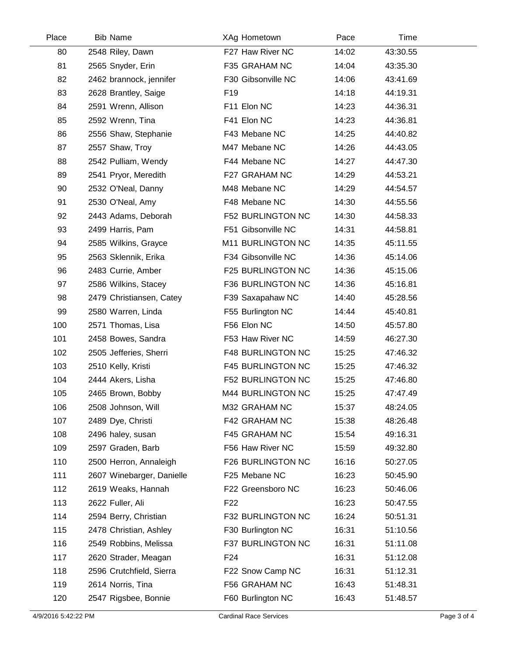| Place | <b>Bib Name</b>           | XAg Hometown             | Pace  | Time     |  |
|-------|---------------------------|--------------------------|-------|----------|--|
| 80    | 2548 Riley, Dawn          | F27 Haw River NC         | 14:02 | 43:30.55 |  |
| 81    | 2565 Snyder, Erin         | F35 GRAHAM NC            | 14:04 | 43:35.30 |  |
| 82    | 2462 brannock, jennifer   | F30 Gibsonville NC       | 14:06 | 43:41.69 |  |
| 83    | 2628 Brantley, Saige      | F <sub>19</sub>          | 14:18 | 44:19.31 |  |
| 84    | 2591 Wrenn, Allison       | F11 Elon NC              | 14:23 | 44:36.31 |  |
| 85    | 2592 Wrenn, Tina          | F41 Elon NC              | 14:23 | 44:36.81 |  |
| 86    | 2556 Shaw, Stephanie      | F43 Mebane NC            | 14:25 | 44:40.82 |  |
| 87    | 2557 Shaw, Troy           | M47 Mebane NC            | 14:26 | 44:43.05 |  |
| 88    | 2542 Pulliam, Wendy       | F44 Mebane NC            | 14:27 | 44:47.30 |  |
| 89    | 2541 Pryor, Meredith      | F27 GRAHAM NC            | 14:29 | 44:53.21 |  |
| 90    | 2532 O'Neal, Danny        | M48 Mebane NC            | 14:29 | 44:54.57 |  |
| 91    | 2530 O'Neal, Amy          | F48 Mebane NC            | 14:30 | 44:55.56 |  |
| 92    | 2443 Adams, Deborah       | <b>F52 BURLINGTON NC</b> | 14:30 | 44:58.33 |  |
| 93    | 2499 Harris, Pam          | F51 Gibsonville NC       | 14:31 | 44:58.81 |  |
| 94    | 2585 Wilkins, Grayce      | M11 BURLINGTON NC        | 14:35 | 45:11.55 |  |
| 95    | 2563 Sklennik, Erika      | F34 Gibsonville NC       | 14:36 | 45:14.06 |  |
| 96    | 2483 Currie, Amber        | F25 BURLINGTON NC        | 14:36 | 45:15.06 |  |
| 97    | 2586 Wilkins, Stacey      | F36 BURLINGTON NC        | 14:36 | 45:16.81 |  |
| 98    | 2479 Christiansen, Catey  | F39 Saxapahaw NC         | 14:40 | 45:28.56 |  |
| 99    | 2580 Warren, Linda        | F55 Burlington NC        | 14:44 | 45:40.81 |  |
| 100   | 2571 Thomas, Lisa         | F56 Elon NC              | 14:50 | 45:57.80 |  |
| 101   | 2458 Bowes, Sandra        | F53 Haw River NC         | 14:59 | 46:27.30 |  |
| 102   | 2505 Jefferies, Sherri    | <b>F48 BURLINGTON NC</b> | 15:25 | 47:46.32 |  |
| 103   | 2510 Kelly, Kristi        | <b>F45 BURLINGTON NC</b> | 15:25 | 47:46.32 |  |
| 104   | 2444 Akers, Lisha         | F52 BURLINGTON NC        | 15:25 | 47:46.80 |  |
| 105   | 2465 Brown, Bobby         | M44 BURLINGTON NC        | 15:25 | 47:47.49 |  |
| 106   | 2508 Johnson, Will        | M32 GRAHAM NC            | 15:37 | 48:24.05 |  |
| 107   | 2489 Dye, Christi         | F42 GRAHAM NC            | 15:38 | 48:26.48 |  |
| 108   | 2496 haley, susan         | F45 GRAHAM NC            | 15:54 | 49:16.31 |  |
| 109   | 2597 Graden, Barb         | F56 Haw River NC         | 15:59 | 49:32.80 |  |
| 110   | 2500 Herron, Annaleigh    | F26 BURLINGTON NC        | 16:16 | 50:27.05 |  |
| 111   | 2607 Winebarger, Danielle | F25 Mebane NC            | 16:23 | 50:45.90 |  |
| 112   | 2619 Weaks, Hannah        | F22 Greensboro NC        | 16:23 | 50:46.06 |  |
| 113   | 2622 Fuller, Ali          | F22                      | 16:23 | 50:47.55 |  |
| 114   | 2594 Berry, Christian     | F32 BURLINGTON NC        | 16:24 | 50:51.31 |  |
| 115   | 2478 Christian, Ashley    | F30 Burlington NC        | 16:31 | 51:10.56 |  |
| 116   | 2549 Robbins, Melissa     | F37 BURLINGTON NC        | 16:31 | 51:11.08 |  |
| 117   | 2620 Strader, Meagan      | F <sub>24</sub>          | 16:31 | 51:12.08 |  |
| 118   | 2596 Crutchfield, Sierra  | F22 Snow Camp NC         | 16:31 | 51:12.31 |  |
| 119   | 2614 Norris, Tina         | F56 GRAHAM NC            | 16:43 | 51:48.31 |  |
| 120   | 2547 Rigsbee, Bonnie      | F60 Burlington NC        | 16:43 | 51:48.57 |  |